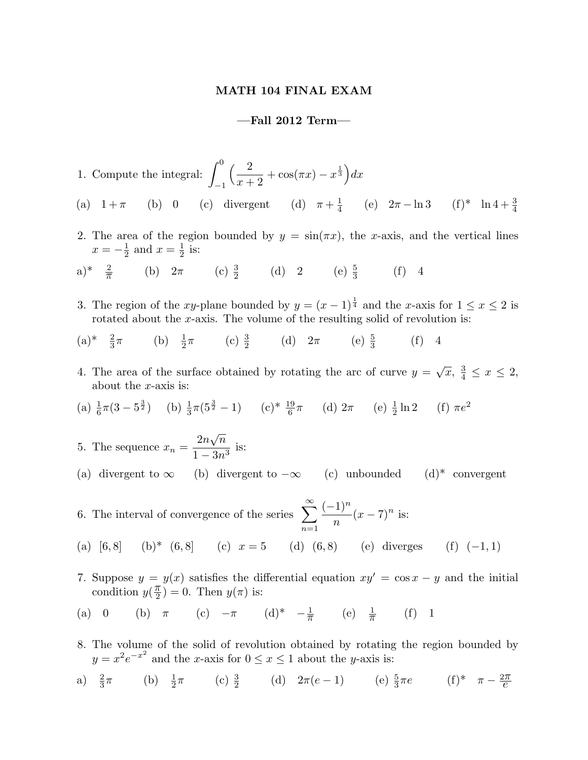## MATH 104 FINAL EXAM

## —Fall 2012 Term—

- 1. Compute the integral:  $\int_0^0$ −1  $\frac{2}{2}$  $x + 2$  $+\cos(\pi x)-x^{\frac{1}{3}}\big)dx$ (a)  $1+\pi$  (b) 0 (c) divergent (d)  $\pi+\frac{1}{4}$  $\frac{1}{4}$  (e)  $2\pi - \ln 3$  (f)\*  $\ln 4 + \frac{3}{4}$
- 2. The area of the region bounded by  $y = \sin(\pi x)$ , the x-axis, and the vertical lines  $x=-\frac{1}{2}$  $\frac{1}{2}$  and  $x=\frac{1}{2}$  $rac{1}{2}$  is:
- a)\*  $\frac{2}{\pi}$  (b)  $2\pi$  (c)  $\frac{3}{2}$  (d) 2 (e)  $\frac{5}{3}$  (f) 4
- 3. The region of the xy-plane bounded by  $y = (x 1)^{\frac{1}{4}}$  and the x-axis for  $1 \le x \le 2$  is rotated about the  $x$ -axis. The volume of the resulting solid of revolution is:
- $(a)^{*} \frac{2}{3}$  $\pi$  (b)  $\frac{1}{2}\pi$  (c)  $\frac{3}{2}$  (d)  $2\pi$  (e)  $\frac{5}{3}$  $(f) 4$
- 4. The area of the surface obtained by rotating the arc of curve  $y =$ √  $\overline{x}, \frac{3}{4}$  $\frac{3}{4} \leq x \leq 2,$ about the  $x$ -axis is:
- (a)  $\frac{1}{6}\pi(3-5^{\frac{3}{2}})$  (b)  $\frac{1}{3}\pi(5^{\frac{3}{2}}-1)$  (c)\*  $\frac{19}{6}\pi$  (d)  $2\pi$  (e)  $\frac{1}{2}\ln 2$  (f)  $\pi e^2$

5. The sequence  $x_n =$  $2n$ √  $\overline{n}$  $\frac{2n\sqrt{n}}{1-3n^3}$  is:

- (a) divergent to  $\infty$  (b) divergent to  $-\infty$  (c) unbounded (d)\* convergent
- 6. The interval of convergence of the series  $\sum_{n=1}^{\infty}$  $n=1$  $(-1)^n$  $\overline{n}$  $(x-7)^n$  is:
- (a)  $[6, 8]$  (b)\*  $(6, 8]$  (c)  $x = 5$  (d)  $(6, 8)$  (e) diverges (f)  $(-1, 1)$
- 7. Suppose  $y = y(x)$  satisfies the differential equation  $xy' = \cos x y$  and the initial condition  $y(\frac{\pi}{2})$  $\frac{\pi}{2}$ ) = 0. Then  $y(\pi)$  is:
- (a) 0 (b)  $\pi$  (c)  $-\pi$  (d)\*  $-\frac{1}{\pi}$  (e)  $\frac{1}{\pi}$  $(f)$  1
- 8. The volume of the solid of revolution obtained by rotating the region bounded by  $y = x^2 e^{-x^2}$  and the x-axis for  $0 \le x \le 1$  about the y-axis is:
- a)  $\frac{2}{3}\pi$  (b)  $\frac{1}{2}\pi$  (c)  $\frac{3}{2}$  (d)  $2\pi(e-1)$  (e)  $\frac{5}{3}\pi e$  (f)\*  $\pi \frac{2\pi}{e}$  $\frac{1}{e}$